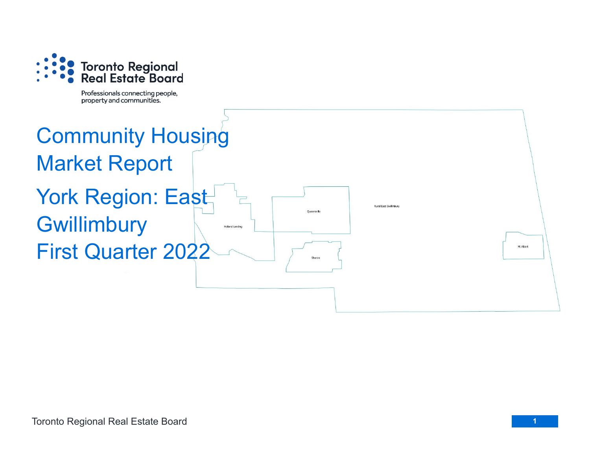

Professionals connecting people, property and communities.

## Community Housing Market Report York Region: East **Gwillimbury Holland Landing** First Quarter 2022

Mt Albert

**Rural East Gwillimbury**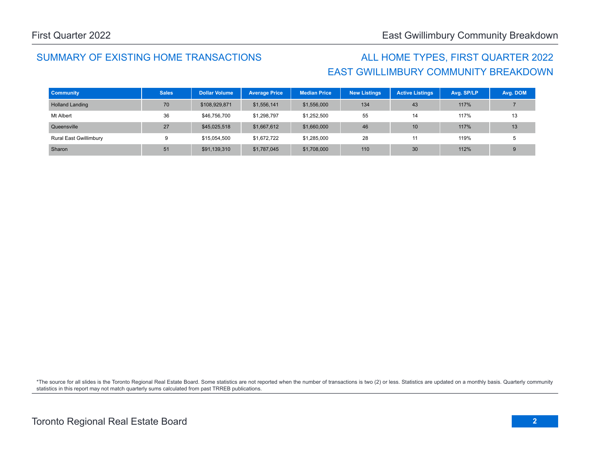## SUMMARY OF EXISTING HOME TRANSACTIONS ALL HOME TYPES, FIRST QUARTER 2022

## EAST GWILLIMBURY COMMUNITY BREAKDOWN

| <b>Community</b>              | <b>Sales</b> | <b>Dollar Volume</b> | <b>Average Price</b> | <b>Median Price</b> | <b>New Listings</b> | <b>Active Listings</b> | Avg. SP/LP | Avg. DOM |
|-------------------------------|--------------|----------------------|----------------------|---------------------|---------------------|------------------------|------------|----------|
| <b>Holland Landing</b>        | 70           | \$108,929,871        | \$1,556,141          | \$1,556,000         | 134                 | 43                     | 117%       |          |
| Mt Albert                     | 36           | \$46,756,700         | \$1,298,797          | \$1,252,500         | 55                  | 14                     | 117%       | 13       |
| Queensville                   | 27           | \$45,025,518         | \$1,667,612          | \$1,660,000         | 46                  | 10                     | 117%       | 13       |
| <b>Rural East Gwillimbury</b> | 9            | \$15,054,500         | \$1,672,722          | \$1,285,000         | 28                  |                        | 119%       |          |
| Sharon                        | 51           | \$91,139,310         | \$1,787,045          | \$1,708,000         | 110                 | 30                     | 112%       |          |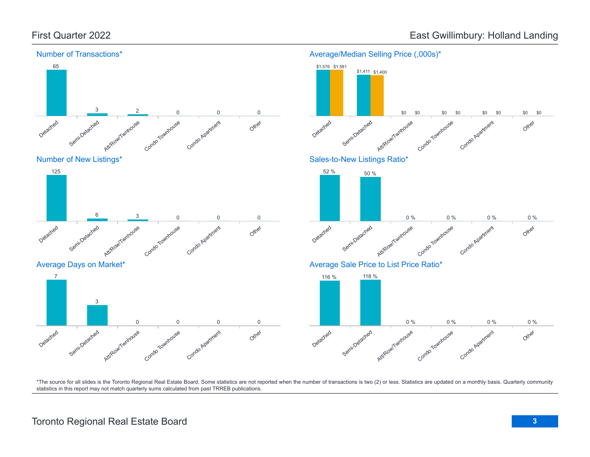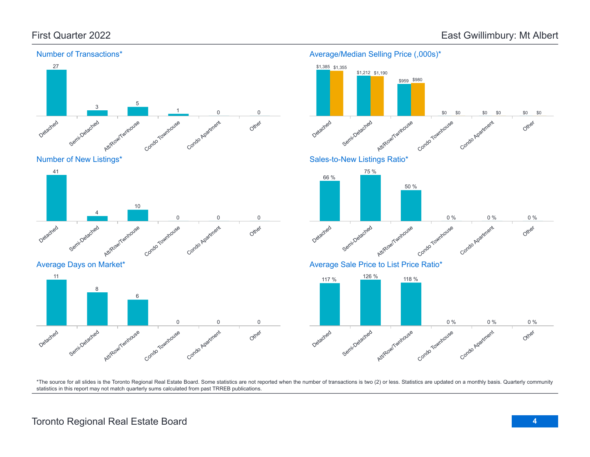

## Average/Median Selling Price (,000s)\*

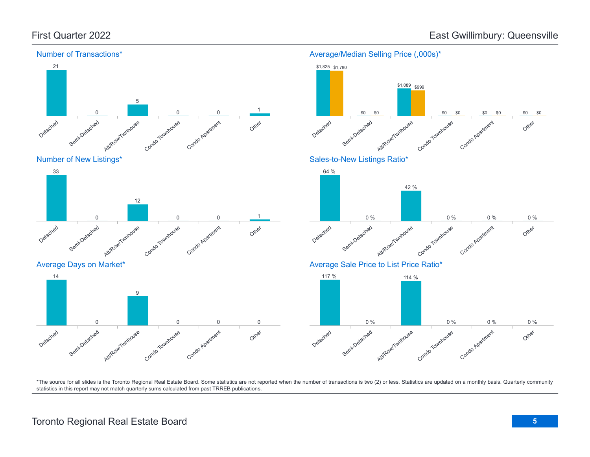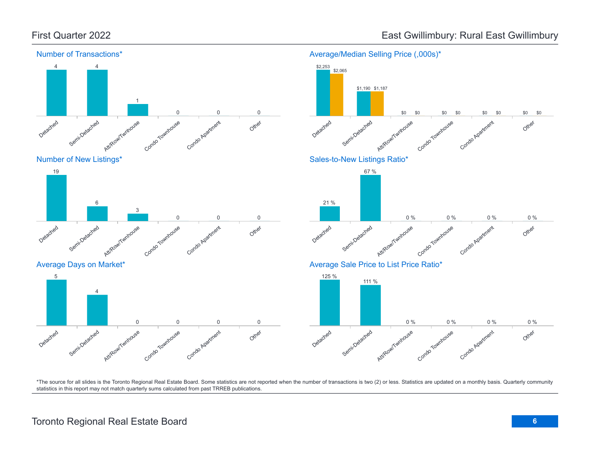